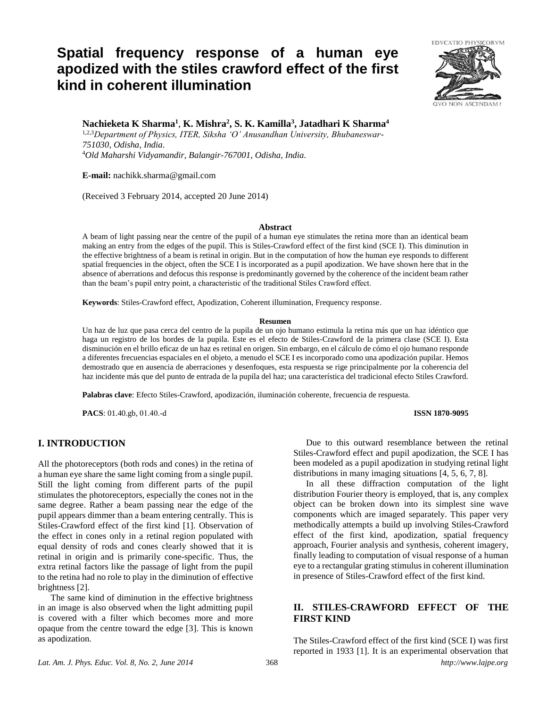# **Spatial frequency response of a human eye apodized with the stiles crawford effect of the first kind in coherent illumination**



**Nachieketa K Sharma<sup>1</sup>** , **K. Mishra<sup>2</sup> , S. K. Kamilla<sup>3</sup> , Jatadhari K Sharma<sup>4</sup>**

1,2,3*Department of Physics, ITER, Siksha 'O' Anusandhan University, Bhubaneswar-751030, Odisha, India.* <sup>4</sup>*Old Maharshi Vidyamandir, Balangir-767001, Odisha, India.*

**E-mail:** nachikk.sharma@gmail.com

(Received 3 February 2014, accepted 20 June 2014)

## **Abstract**

A beam of light passing near the centre of the pupil of a human eye stimulates the retina more than an identical beam making an entry from the edges of the pupil. This is Stiles-Crawford effect of the first kind (SCE I). This diminution in the effective brightness of a beam is retinal in origin. But in the computation of how the human eye responds to different spatial frequencies in the object, often the SCE I is incorporated as a pupil apodization. We have shown here that in the absence of aberrations and defocus this response is predominantly governed by the coherence of the incident beam rather than the beam's pupil entry point, a characteristic of the traditional Stiles Crawford effect.

**Keywords**: Stiles-Crawford effect, Apodization, Coherent illumination, Frequency response.

#### **Resumen**

Un haz de luz que pasa cerca del centro de la pupila de un ojo humano estimula la retina más que un haz idéntico que haga un registro de los bordes de la pupila. Este es el efecto de Stiles-Crawford de la primera clase (SCE I). Esta disminución en el brillo eficaz de un haz es retinal en origen. Sin embargo, en el cálculo de cómo el ojo humano responde a diferentes frecuencias espaciales en el objeto, a menudo el SCE I es incorporado como una apodización pupilar. Hemos demostrado que en ausencia de aberraciones y desenfoques, esta respuesta se rige principalmente por la coherencia del haz incidente más que del punto de entrada de la pupila del haz; una característica del tradicional efecto Stiles Crawford.

**Palabras clave**: Efecto Stiles-Crawford, apodización, iluminación coherente, frecuencia de respuesta.

**PACS**: 01.40.gb, 01.40.-d **ISSN 1870-9095**

# **I. INTRODUCTION**

All the photoreceptors (both rods and cones) in the retina of a human eye share the same light coming from a single pupil. Still the light coming from different parts of the pupil stimulates the photoreceptors, especially the cones not in the same degree. Rather a beam passing near the edge of the pupil appears dimmer than a beam entering centrally. This is Stiles-Crawford effect of the first kind [1]. Observation of the effect in cones only in a retinal region populated with equal density of rods and cones clearly showed that it is retinal in origin and is primarily cone-specific. Thus, the extra retinal factors like the passage of light from the pupil to the retina had no role to play in the diminution of effective brightness [2].

The same kind of diminution in the effective brightness in an image is also observed when the light admitting pupil is covered with a filter which becomes more and more opaque from the centre toward the edge [3]. This is known as apodization.

Due to this outward resemblance between the retinal Stiles-Crawford effect and pupil apodization, the SCE I has been modeled as a pupil apodization in studying retinal light distributions in many imaging situations [4, 5, 6, 7, 8].

In all these diffraction computation of the light distribution Fourier theory is employed, that is, any complex object can be broken down into its simplest sine wave components which are imaged separately. This paper very methodically attempts a build up involving Stiles-Crawford effect of the first kind, apodization, spatial frequency approach, Fourier analysis and synthesis, coherent imagery, finally leading to computation of visual response of a human eye to a rectangular grating stimulus in coherent illumination in presence of Stiles-Crawford effect of the first kind.

# **II. STILES-CRAWFORD EFFECT OF THE FIRST KIND**

*Lat. Am. J. Phys. Educ. Vol. 8, No. 2, June 2014* 368 *http://www.lajpe.org* The Stiles-Crawford effect of the first kind (SCE I) was first reported in 1933 [1]. It is an experimental observation that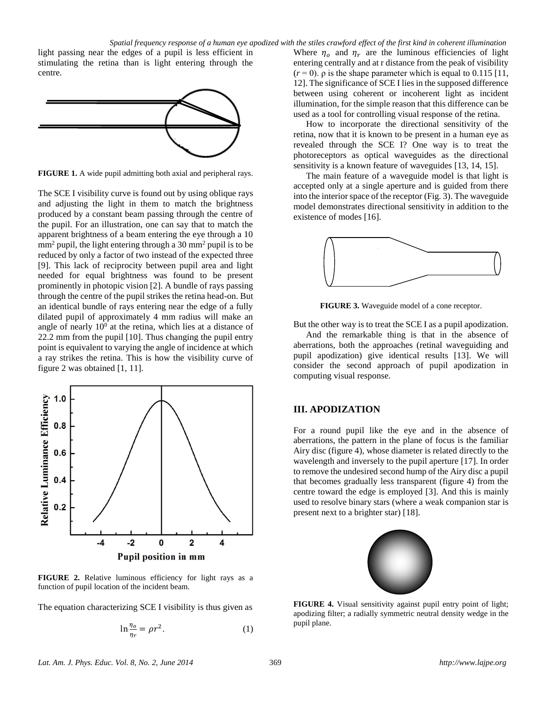light passing near the edges of a pupil is less efficient in stimulating the retina than is light entering through the centre.



**FIGURE 1.** A wide pupil admitting both axial and peripheral rays.

The SCE I visibility curve is found out by using oblique rays and adjusting the light in them to match the brightness produced by a constant beam passing through the centre of the pupil. For an illustration, one can say that to match the apparent brightness of a beam entering the eye through a 10  $mm<sup>2</sup>$  pupil, the light entering through a 30 mm<sup>2</sup> pupil is to be reduced by only a factor of two instead of the expected three [9]. This lack of reciprocity between pupil area and light needed for equal brightness was found to be present prominently in photopic vision [2]. A bundle of rays passing through the centre of the pupil strikes the retina head-on. But an identical bundle of rays entering near the edge of a fully dilated pupil of approximately 4 mm radius will make an angle of nearly  $10<sup>0</sup>$  at the retina, which lies at a distance of 22.2 mm from the pupil [10]. Thus changing the pupil entry point is equivalent to varying the angle of incidence at which a ray strikes the retina. This is how the visibility curve of figure 2 was obtained [1, 11].



**FIGURE 2.** Relative luminous efficiency for light rays as a function of pupil location of the incident beam.

The equation characterizing SCE I visibility is thus given as

$$
\ln \frac{\eta_o}{\eta_r} = \rho r^2. \tag{1}
$$

Where  $\eta_o$  and  $\eta_r$  are the luminous efficiencies of light entering centrally and at r distance from the peak of visibility  $(r=0)$ . *ρ* is the shape parameter which is equal to 0.115 [11, 12]. The significance of SCE I lies in the supposed difference between using coherent or incoherent light as incident illumination, for the simple reason that this difference can be used as a tool for controlling visual response of the retina.

How to incorporate the directional sensitivity of the retina, now that it is known to be present in a human eye as revealed through the SCE I? One way is to treat the photoreceptors as optical waveguides as the directional sensitivity is a known feature of waveguides [13, 14, 15].

The main feature of a waveguide model is that light is accepted only at a single aperture and is guided from there into the interior space of the receptor (Fig. 3). The waveguide model demonstrates directional sensitivity in addition to the existence of modes [16].



**FIGURE 3.** Waveguide model of a cone receptor.

But the other way is to treat the SCE I as a pupil apodization.

And the remarkable thing is that in the absence of aberrations, both the approaches (retinal waveguiding and pupil apodization) give identical results [13]. We will consider the second approach of pupil apodization in computing visual response.

# **III. APODIZATION**

For a round pupil like the eye and in the absence of aberrations, the pattern in the plane of focus is the familiar Airy disc (figure 4), whose diameter is related directly to the wavelength and inversely to the pupil aperture [17]. In order to remove the undesired second hump of the Airy disc a pupil that becomes gradually less transparent (figure 4) from the centre toward the edge is employed [3]. And this is mainly used to resolve binary stars (where a weak companion star is present next to a brighter star) [18].



**FIGURE 4.** Visual sensitivity against pupil entry point of light; apodizing filter; a radially symmetric neutral density wedge in the pupil plane.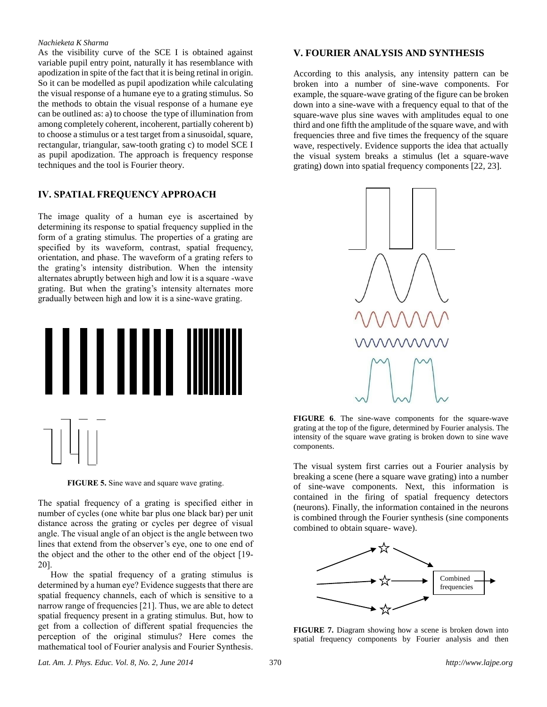### *Nachieketa K Sharma*

As the visibility curve of the SCE I is obtained against variable pupil entry point, naturally it has resemblance with apodization in spite of the fact that it is being retinal in origin. So it can be modelled as pupil apodization while calculating the visual response of a humane eye to a grating stimulus. So the methods to obtain the visual response of a humane eye can be outlined as: a) to choose the type of illumination from among completely coherent, incoherent, partially coherent b) to choose a stimulus or a test target from a sinusoidal, square, rectangular, triangular, saw-tooth grating c) to model SCE I as pupil apodization. The approach is frequency response techniques and the tool is Fourier theory.

# **IV. SPATIAL FREQUENCY APPROACH**

The image quality of a human eye is ascertained by determining its response to spatial frequency supplied in the form of a grating stimulus. The properties of a grating are specified by its waveform, contrast, spatial frequency, orientation, and phase. The waveform of a grating refers to the grating's intensity distribution. When the intensity alternates abruptly between high and low it is a square -wave grating. But when the grating's intensity alternates more gradually between high and low it is a sine-wave grating.



**FIGURE 5.** Sine wave and square wave grating.

The spatial frequency of a grating is specified either in number of cycles (one white bar plus one black bar) per unit distance across the grating or cycles per degree of visual angle. The visual angle of an object is the angle between two lines that extend from the observer's eye, one to one end of the object and the other to the other end of the object [19- 20].

How the spatial frequency of a grating stimulus is determined by a human eye? Evidence suggests that there are spatial frequency channels, each of which is sensitive to a narrow range of frequencies [21]. Thus, we are able to detect spatial frequency present in a grating stimulus. But, how to get from a collection of different spatial frequencies the perception of the original stimulus? Here comes the mathematical tool of Fourier analysis and Fourier Synthesis.

# **V. FOURIER ANALYSIS AND SYNTHESIS**

According to this analysis, any intensity pattern can be broken into a number of sine-wave components. For example, the square-wave grating of the figure can be broken down into a sine-wave with a frequency equal to that of the square-wave plus sine waves with amplitudes equal to one third and one fifth the amplitude of the square wave, and with frequencies three and five times the frequency of the square wave, respectively. Evidence supports the idea that actually the visual system breaks a stimulus (let a square-wave grating) down into spatial frequency components [22, 23].



**FIGURE 6**. The sine-wave components for the square-wave grating at the top of the figure, determined by Fourier analysis. The intensity of the square wave grating is broken down to sine wave components.

The visual system first carries out a Fourier analysis by breaking a scene (here a square wave grating) into a number of sine-wave components. Next, this information is contained in the firing of spatial frequency detectors (neurons). Finally, the information contained in the neurons is combined through the Fourier synthesis (sine components combined to obtain square- wave).



**FIGURE 7.** Diagram showing how a scene is broken down into spatial frequency components by Fourier analysis and then

*Lat. Am. J. Phys. Educ. Vol. 8, No. 2, June 2014* 370 *http://www.lajpe.org*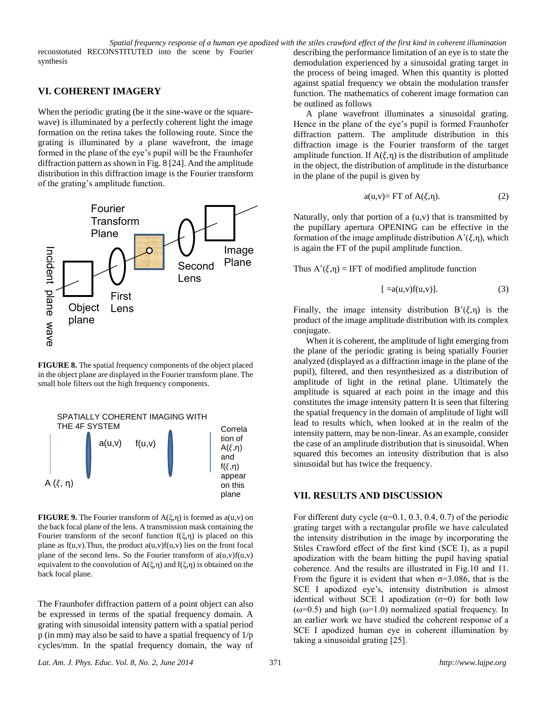*Spatial frequency response of a human eye apodized with the stiles crawford effect of the first kind in coherent illumination*

reconstotuted RECONSTITUTED into the scene by Fourier synthesis

# **VI. COHERENT IMAGERY**

When the periodic grating (be it the sine-wave or the squarewave) is illuminated by a perfectly coherent light the image formation on the retina takes the following route. Since the grating is illuminated by a plane wavefront, the image formed in the plane of the eye's pupil will be the Fraunhofer diffraction pattern as shown in Fig. 8 [24]. And the amplitude distribution in this diffraction image is the Fourier transform of the grating's amplitude function.



**FIGURE 8.** The spatial frequency components of the object placed in the object plane are displayed in the Fourier transform plane. The small hole filters out the high frequency components.



**FIGURE 9.** The Fourier transform of A(ξ,η) is formed as a(u,v) on the back focal plane of the lens. A transmission mask containing the Fourier transform of the seconf function  $f(\xi,\eta)$  is placed on this plane as  $f(u,v)$ . Thus, the product  $a(u,v)f(u,v)$  lies on the front focal plane of the second lens. So the Fourier transform of  $a(u,v)f(u,v)$ equivalent to the convolution of  $A(\xi,\eta)$  and  $f(\xi,\eta)$  is obtained on the back focal plane.

The Fraunhofer diffraction pattern of a point object can also be expressed in terms of the spatial frequency domain. A grating with sinusoidal intensity pattern with a spatial period p (in mm) may also be said to have a spatial frequency of 1/p cycles/mm. In the spatial frequency domain, the way of describing the performance limitation of an eye is to state the demodulation experienced by a sinusoidal grating target in the process of being imaged. When this quantity is plotted against spatial frequency we obtain the modulation transfer function. The mathematics of coherent image formation can be outlined as follows

A plane wavefront illuminates a sinusoidal grating. Hence in the plane of the eye's pupil is formed Fraunhofer diffraction pattern. The amplitude distribution in this diffraction image is the Fourier transform of the target amplitude function. If  $A(\xi,n)$  is the distribution of amplitude in the object, the distribution of amplitude in the disturbance in the plane of the pupil is given by

$$
a(u,v) = FT \text{ of } A(\xi,\eta). \tag{2}
$$

Naturally, only that portion of a (u,v) that is transmitted by the pupillary apertura OPENING can be effective in the formation of the image amplitude distribution  $A'(\xi,\eta)$ , which is again the FT of the pupil amplitude function.

Thus  $A'(\xi,\eta) = IFT$  of modified amplitude function

$$
[ =a(u,v)f(u,v)]. \qquad (3)
$$

Finally, the image intensity distribution  $B'(\xi,\eta)$  is the product of the image amplitude distribution with its complex conjugate.

When it is coherent, the amplitude of light emerging from the plane of the periodic grating is being spatially Fourier analyzed (displayed as a diffraction image in the plane of the pupil), filtered, and then resynthesized as a distribution of amplitude of light in the retinal plane. Ultimately the amplitude is squared at each point in the image and this constitutes the image intensity pattern It is seen that filtering the spatial frequency in the domain of amplitude of light will lead to results which, when looked at in the realm of the intensity pattern, may be non-linear. As an example, consider the case of an amplitude distribution that is sinusoidal. When squared this becomes an intensity distribution that is also sinusoidal but has twice the frequency.

# **VII. RESULTS AND DISCUSSION**

For different duty cycle ( $\alpha$ =0.1, 0.3, 0.4, 0.7) of the periodic grating target with a rectangular profile we have calculated the intensity distribution in the image by incorporating the Stiles Crawford effect of the first kind (SCE I), as a pupil apodization with the beam hitting the pupil having spatial coherence. And the results are illustrated in Fig.10 and 11. From the figure it is evident that when  $\sigma$ =3.086, that is the SCE I apodized eye's, intensity distribution is almost identical without SCE I apodization  $(σ=0)$  for both low  $(\omega=0.5)$  and high  $(\omega=1.0)$  normalized spatial frequency. In an earlier work we have studied the coherent response of a SCE I apodized human eye in coherent illumination by taking a sinusoidal grating [25].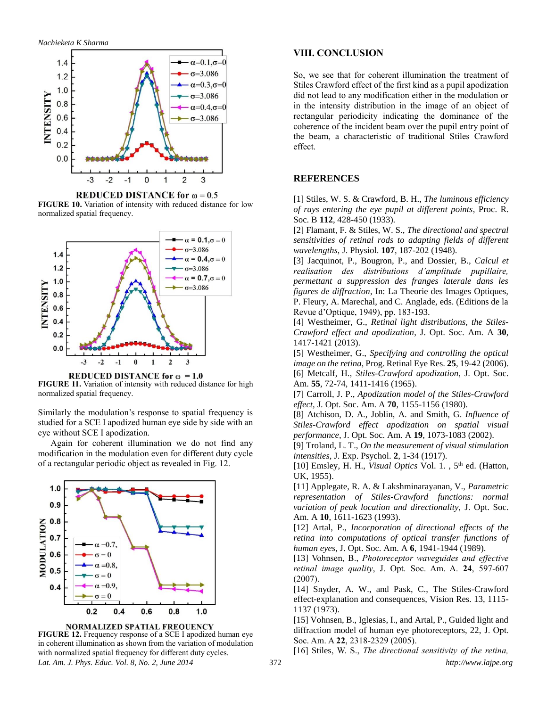

**REDUCED DISTANCE for**  $\omega = 0.5$ **FIGURE 10.** Variation of intensity with reduced distance for low normalized spatial frequency.



REDUCED DISTANCE for  $\omega = 1.0$ **FIGURE 11.** Variation of intensity with reduced distance for high normalized spatial frequency.

Similarly the modulation's response to spatial frequency is studied for a SCE I apodized human eye side by side with an eye without SCE I apodization.

Again for coherent illumination we do not find any modification in the modulation even for different duty cycle of a rectangular periodic object as revealed in Fig. 12.



NORMALIZED SPATIAL FREOUENCY

**FIGURE 12.** Frequency response of a SCE I apodized human eye in coherent illumination as shown from the variation of modulation with normalized spatial frequency for different duty cycles.

# **VIII. CONCLUSION**

So, we see that for coherent illumination the treatment of Stiles Crawford effect of the first kind as a pupil apodization did not lead to any modification either in the modulation or in the intensity distribution in the image of an object of rectangular periodicity indicating the dominance of the coherence of the incident beam over the pupil entry point of the beam, a characteristic of traditional Stiles Crawford effect.

# **REFERENCES**

[1] Stiles, W. S. & Crawford, B. H., *The luminous efficiency of rays entering the eye pupil at different points*, Proc. R. Soc. B **112**, 428-450 (1933).

[2] Flamant, F. & Stiles, W. S., *The directional and spectral sensitivities of retinal rods to adapting fields of different wavelengths*, J. Physiol. **107**, 187-202 (1948).

[3] Jacquinot, P., Bougron, P., and Dossier, B., *Calcul et realisation des distributions d'amplitude pupillaire, permettant a suppression des franges laterale dans les figures de diffraction*, In: La Theorie des Images Optiques, P. Fleury, A. Marechal, and C. Anglade, eds. (Editions de la Revue d'Optique, 1949), pp. 183-193.

[4] Westheimer, G., *Retinal light distributions, the Stiles-Crawford effect and apodization*, J. Opt. Soc. Am. A **30**, 1417-1421 (2013).

[5] Westheimer, G., *Specifying and controlling the optical image on the retina,* Prog. Retinal Eye Res. **25**, 19-42 (2006). [6] Metcalf, H., *Stiles-Crawford apodization*, J. Opt. Soc. Am. **55**, 72-74, 1411-1416 (1965).

[7] Carroll, J. P., *Apodization model of the Stiles-Crawford effect,* J. Opt. Soc. Am. A **70**, 1155-1156 (1980).

[8] Atchison, D. A., Joblin, A. and Smith, G. *Influence of Stiles-Crawford effect apodization on spatial visual performance,* J. Opt. Soc. Am. A **19**, 1073-1083 (2002).

[9] Troland, L. T., *On the measurement of visual stimulation intensities,* J. Exp. Psychol. **2**, 1-34 (1917).

[10] Emsley, H. H., *Visual Optics* Vol. 1.,  $5<sup>th</sup>$  ed. (Hatton, UK, 1955).

[11] Applegate, R. A. & Lakshminarayanan, V., *Parametric representation of Stiles-Crawford functions: normal variation of peak location and directionality,* J. Opt. Soc. Am. A **10**, 1611-1623 (1993).

[12] Artal, P., *Incorporation of directional effects of the retina into computations of optical transfer functions of human eyes,* J. Opt. Soc. Am. A **6**, 1941-1944 (1989).

[13] Vohnsen, B., *Photoreceptor waveguides and effective retinal image quality*, J. Opt. Soc. Am. A. **24**, 597-607 (2007).

[14] Snyder, A. W., and Pask, C., The Stiles-Crawford effect-explanation and consequences, Vision Res. 13, 1115- 1137 (1973).

[15] Vohnsen, B., Iglesias, I., and Artal, P., Guided light and diffraction model of human eye photoreceptors, 22, J. Opt. Soc. Am. A **22**, 2318-2329 (2005).

*Lat. Am. J. Phys. Educ. Vol. 8, No. 2, June 2014* 372 *http://www.lajpe.org* [16] Stiles, W. S., *The directional sensitivity of the retina,*